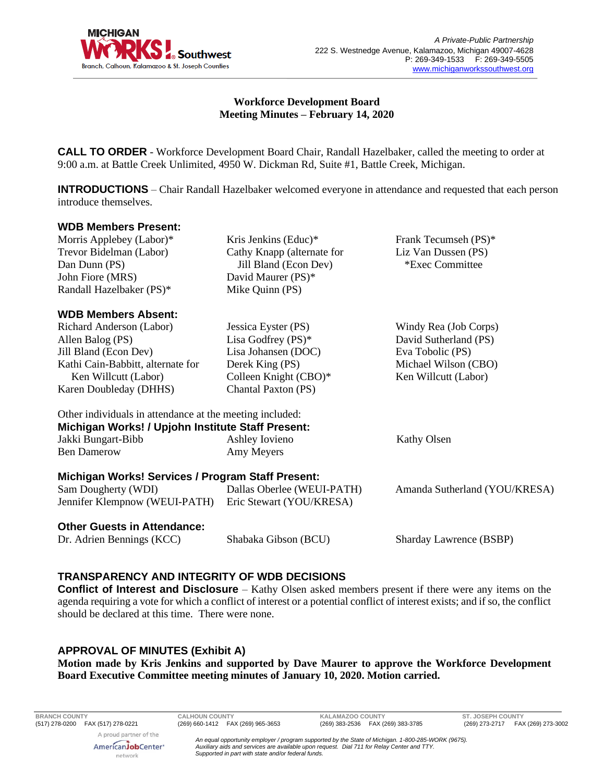

## **Workforce Development Board Meeting Minutes – February 14, 2020**

**CALL TO ORDER** - Workforce Development Board Chair, Randall Hazelbaker, called the meeting to order at 9:00 a.m. at Battle Creek Unlimited, 4950 W. Dickman Rd, Suite #1, Battle Creek, Michigan.

**INTRODUCTIONS** – Chair Randall Hazelbaker welcomed everyone in attendance and requested that each person introduce themselves.

#### **WDB Members Present:**

Morris Applebey (Labor)\* Trevor Bidelman (Labor) Dan Dunn (PS) John Fiore (MRS) Randall Hazelbaker (PS)\*

### **WDB Members Absent:**

Richard Anderson (Labor) Allen Balog (PS) Jill Bland (Econ Dev) Kathi Cain-Babbitt, alternate for Ken Willcutt (Labor) Karen Doubleday (DHHS)

Kris Jenkins (Educ)\* Cathy Knapp (alternate for Jill Bland (Econ Dev) David Maurer (PS)\* Mike Quinn (PS)

Jessica Eyster (PS) Lisa Godfrey (PS)\* Lisa Johansen (DOC) Derek King (PS) Colleen Knight (CBO)\* Chantal Paxton (PS)

Frank Tecumseh (PS)\* Liz Van Dussen (PS) \*Exec Committee

Windy Rea (Job Corps) David Sutherland (PS) Eva Tobolic (PS) Michael Wilson (CBO) Ken Willcutt (Labor)

Other individuals in attendance at the meeting included: **Michigan Works! / Upjohn Institute Staff Present:** Jakki Bungart-Bibb Ben Damerow Ashley Iovieno Amy Meyers Kathy Olsen **Michigan Works! Services / Program Staff Present:**

#### Sam Dougherty (WDI) Jennifer Klempnow (WEUI-PATH) Dallas Oberlee (WEUI-PATH) Eric Stewart (YOU/KRESA) Amanda Sutherland (YOU/KRESA)

### **Other Guests in Attendance:**

Dr. Adrien Bennings (KCC) Shabaka Gibson (BCU) Sharday Lawrence (BSBP)

# **TRANSPARENCY AND INTEGRITY OF WDB DECISIONS**

**Conflict of Interest and Disclosure** – Kathy Olsen asked members present if there were any items on the agenda requiring a vote for which a conflict of interest or a potential conflict of interest exists; and if so, the conflict should be declared at this time. There were none.

# **APPROVAL OF MINUTES (Exhibit A)**

**Motion made by Kris Jenkins and supported by Dave Maurer to approve the Workforce Development Board Executive Committee meeting minutes of January 10, 2020. Motion carried.** 

**BRANCH COUNTY CALHOUN COUNTY KALAMAZOO COUNTY ST. JOSEPH COUNTY** A proud partner of the

> AmericanJobCenter\* network

*An equal opportunity employer / program supported by the State of Michigan. 1-800-285-WORK (9675). Auxiliary aids and services are available upon request. Dial 711 for Relay Center and TTY. Supported in part with state and/or federal funds.*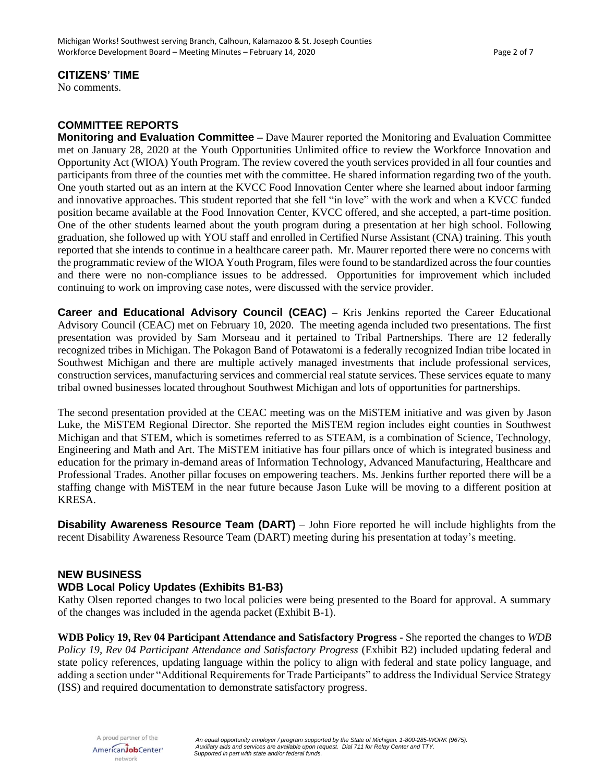## **CITIZENS' TIME**

No comments.

# **COMMITTEE REPORTS**

**Monitoring and Evaluation Committee –** Dave Maurer reported the Monitoring and Evaluation Committee met on January 28, 2020 at the Youth Opportunities Unlimited office to review the Workforce Innovation and Opportunity Act (WIOA) Youth Program. The review covered the youth services provided in all four counties and participants from three of the counties met with the committee. He shared information regarding two of the youth. One youth started out as an intern at the KVCC Food Innovation Center where she learned about indoor farming and innovative approaches. This student reported that she fell "in love" with the work and when a KVCC funded position became available at the Food Innovation Center, KVCC offered, and she accepted, a part-time position. One of the other students learned about the youth program during a presentation at her high school. Following graduation, she followed up with YOU staff and enrolled in Certified Nurse Assistant (CNA) training. This youth reported that she intends to continue in a healthcare career path. Mr. Maurer reported there were no concerns with the programmatic review of the WIOA Youth Program, files were found to be standardized across the four counties and there were no non-compliance issues to be addressed. Opportunities for improvement which included continuing to work on improving case notes, were discussed with the service provider.

**Career and Educational Advisory Council (CEAC) –** Kris Jenkins reported the Career Educational Advisory Council (CEAC) met on February 10, 2020. The meeting agenda included two presentations. The first presentation was provided by Sam Morseau and it pertained to Tribal Partnerships. There are 12 federally recognized tribes in Michigan. The Pokagon Band of Potawatomi is a federally recognized Indian tribe located in Southwest Michigan and there are multiple actively managed investments that include professional services, construction services, manufacturing services and commercial real statute services. These services equate to many tribal owned businesses located throughout Southwest Michigan and lots of opportunities for partnerships.

The second presentation provided at the CEAC meeting was on the MiSTEM initiative and was given by Jason Luke, the MiSTEM Regional Director. She reported the MiSTEM region includes eight counties in Southwest Michigan and that STEM, which is sometimes referred to as STEAM, is a combination of Science, Technology, Engineering and Math and Art. The MiSTEM initiative has four pillars once of which is integrated business and education for the primary in-demand areas of Information Technology, Advanced Manufacturing, Healthcare and Professional Trades. Another pillar focuses on empowering teachers. Ms. Jenkins further reported there will be a staffing change with MiSTEM in the near future because Jason Luke will be moving to a different position at KRESA.

**Disability Awareness Resource Team (DART)** – John Fiore reported he will include highlights from the recent Disability Awareness Resource Team (DART) meeting during his presentation at today's meeting.

### **NEW BUSINESS**

### **WDB Local Policy Updates (Exhibits B1-B3)**

Kathy Olsen reported changes to two local policies were being presented to the Board for approval. A summary of the changes was included in the agenda packet (Exhibit B-1).

**WDB Policy 19, Rev 04 Participant Attendance and Satisfactory Progress** - She reported the changes to *WDB Policy 19, Rev 04 Participant Attendance and Satisfactory Progress* (Exhibit B2) included updating federal and state policy references, updating language within the policy to align with federal and state policy language, and adding a section under "Additional Requirements for Trade Participants" to address the Individual Service Strategy (ISS) and required documentation to demonstrate satisfactory progress.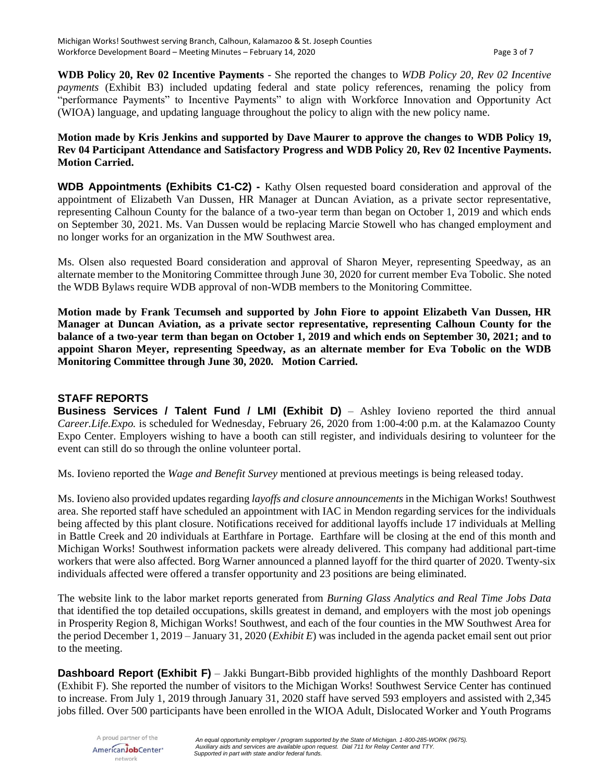**WDB Policy 20, Rev 02 Incentive Payments** - She reported the changes to *WDB Policy 20, Rev 02 Incentive payments* (Exhibit B3) included updating federal and state policy references, renaming the policy from "performance Payments" to Incentive Payments" to align with Workforce Innovation and Opportunity Act (WIOA) language, and updating language throughout the policy to align with the new policy name.

### **Motion made by Kris Jenkins and supported by Dave Maurer to approve the changes to WDB Policy 19, Rev 04 Participant Attendance and Satisfactory Progress and WDB Policy 20, Rev 02 Incentive Payments. Motion Carried.**

**WDB Appointments (Exhibits C1-C2) -** Kathy Olsen requested board consideration and approval of the appointment of Elizabeth Van Dussen, HR Manager at Duncan Aviation, as a private sector representative, representing Calhoun County for the balance of a two-year term than began on October 1, 2019 and which ends on September 30, 2021. Ms. Van Dussen would be replacing Marcie Stowell who has changed employment and no longer works for an organization in the MW Southwest area.

Ms. Olsen also requested Board consideration and approval of Sharon Meyer, representing Speedway, as an alternate member to the Monitoring Committee through June 30, 2020 for current member Eva Tobolic. She noted the WDB Bylaws require WDB approval of non-WDB members to the Monitoring Committee.

**Motion made by Frank Tecumseh and supported by John Fiore to appoint Elizabeth Van Dussen, HR Manager at Duncan Aviation, as a private sector representative, representing Calhoun County for the balance of a two-year term than began on October 1, 2019 and which ends on September 30, 2021; and to appoint Sharon Meyer, representing Speedway, as an alternate member for Eva Tobolic on the WDB Monitoring Committee through June 30, 2020. Motion Carried.**

# **STAFF REPORTS**

**Business Services / Talent Fund / LMI (Exhibit D)** – Ashley Iovieno reported the third annual *Career.Life.Expo.* is scheduled for Wednesday, February 26, 2020 from 1:00-4:00 p.m. at the Kalamazoo County Expo Center. Employers wishing to have a booth can still register, and individuals desiring to volunteer for the event can still do so through the online volunteer portal.

Ms. Iovieno reported the *Wage and Benefit Survey* mentioned at previous meetings is being released today.

Ms. Iovieno also provided updates regarding *layoffs and closure announcements* in the Michigan Works! Southwest area. She reported staff have scheduled an appointment with IAC in Mendon regarding services for the individuals being affected by this plant closure. Notifications received for additional layoffs include 17 individuals at Melling in Battle Creek and 20 individuals at Earthfare in Portage. Earthfare will be closing at the end of this month and Michigan Works! Southwest information packets were already delivered. This company had additional part-time workers that were also affected. Borg Warner announced a planned layoff for the third quarter of 2020. Twenty-six individuals affected were offered a transfer opportunity and 23 positions are being eliminated.

The website link to the labor market reports generated from *Burning Glass Analytics and Real Time Jobs Data* that identified the top detailed occupations, skills greatest in demand, and employers with the most job openings in Prosperity Region 8, Michigan Works! Southwest, and each of the four counties in the MW Southwest Area for the period December 1, 2019 – January 31, 2020 (*Exhibit E*) was included in the agenda packet email sent out prior to the meeting.

**Dashboard Report (Exhibit F)** – Jakki Bungart-Bibb provided highlights of the monthly Dashboard Report (Exhibit F). She reported the number of visitors to the Michigan Works! Southwest Service Center has continued to increase. From July 1, 2019 through January 31, 2020 staff have served 593 employers and assisted with 2,345 jobs filled. Over 500 participants have been enrolled in the WIOA Adult, Dislocated Worker and Youth Programs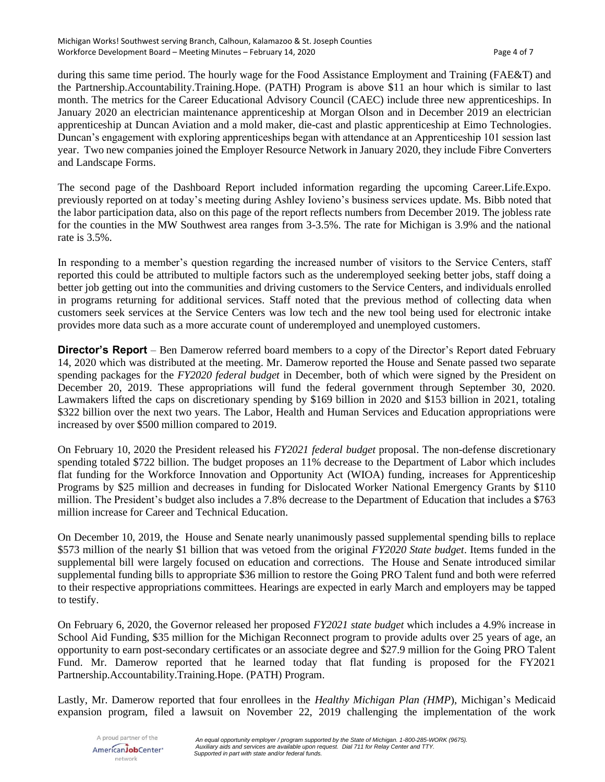during this same time period. The hourly wage for the Food Assistance Employment and Training (FAE&T) and the Partnership.Accountability.Training.Hope. (PATH) Program is above \$11 an hour which is similar to last month. The metrics for the Career Educational Advisory Council (CAEC) include three new apprenticeships. In January 2020 an electrician maintenance apprenticeship at Morgan Olson and in December 2019 an electrician apprenticeship at Duncan Aviation and a mold maker, die-cast and plastic apprenticeship at Eimo Technologies. Duncan's engagement with exploring apprenticeships began with attendance at an Apprenticeship 101 session last year. Two new companies joined the Employer Resource Network in January 2020, they include Fibre Converters and Landscape Forms.

The second page of the Dashboard Report included information regarding the upcoming Career.Life.Expo. previously reported on at today's meeting during Ashley Iovieno's business services update. Ms. Bibb noted that the labor participation data, also on this page of the report reflects numbers from December 2019. The jobless rate for the counties in the MW Southwest area ranges from 3-3.5%. The rate for Michigan is 3.9% and the national rate is 3.5%.

In responding to a member's question regarding the increased number of visitors to the Service Centers, staff reported this could be attributed to multiple factors such as the underemployed seeking better jobs, staff doing a better job getting out into the communities and driving customers to the Service Centers, and individuals enrolled in programs returning for additional services. Staff noted that the previous method of collecting data when customers seek services at the Service Centers was low tech and the new tool being used for electronic intake provides more data such as a more accurate count of underemployed and unemployed customers.

**Director's Report** – Ben Damerow referred board members to a copy of the Director's Report dated February 14, 2020 which was distributed at the meeting. Mr. Damerow reported the House and Senate passed two separate spending packages for the *FY2020 federal budget* in December, both of which were signed by the President on December 20, 2019. These appropriations will fund the federal government through September 30, 2020. Lawmakers lifted the caps on discretionary spending by \$169 billion in 2020 and \$153 billion in 2021, totaling \$322 billion over the next two years. The Labor, Health and Human Services and Education appropriations were increased by over \$500 million compared to 2019.

On February 10, 2020 the President released his *FY2021 federal budget* proposal. The non-defense discretionary spending totaled \$722 billion. The budget proposes an 11% decrease to the Department of Labor which includes flat funding for the Workforce Innovation and Opportunity Act (WIOA) funding, increases for Apprenticeship Programs by \$25 million and decreases in funding for Dislocated Worker National Emergency Grants by \$110 million. The President's budget also includes a 7.8% decrease to the Department of Education that includes a \$763 million increase for Career and Technical Education.

On December 10, 2019, the House and Senate nearly unanimously passed supplemental spending bills to replace \$573 million of the nearly \$1 billion that was vetoed from the original *FY2020 State budget*. Items funded in the supplemental bill were largely focused on education and corrections. The House and Senate introduced similar supplemental funding bills to appropriate \$36 million to restore the Going PRO Talent fund and both were referred to their respective appropriations committees. Hearings are expected in early March and employers may be tapped to testify.

On February 6, 2020, the Governor released her proposed *FY2021 state budget* which includes a 4.9% increase in School Aid Funding, \$35 million for the Michigan Reconnect program to provide adults over 25 years of age, an opportunity to earn post-secondary certificates or an associate degree and \$27.9 million for the Going PRO Talent Fund. Mr. Damerow reported that he learned today that flat funding is proposed for the FY2021 Partnership.Accountability.Training.Hope. (PATH) Program.

Lastly, Mr. Damerow reported that four enrollees in the *Healthy Michigan Plan (HMP*), Michigan's Medicaid expansion program, filed a lawsuit on November 22, 2019 challenging the implementation of the work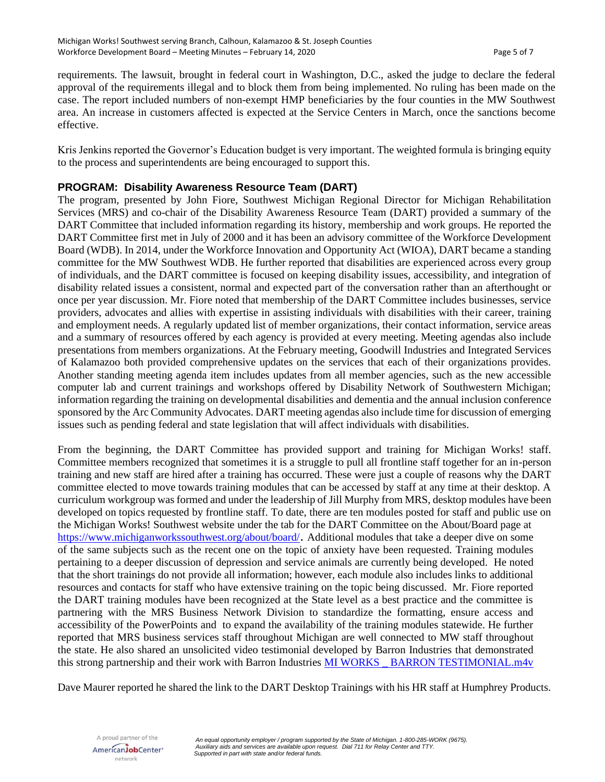requirements. The lawsuit, brought in federal court in Washington, D.C., asked the judge to declare the federal approval of the requirements illegal and to block them from being implemented. No ruling has been made on the case. The report included numbers of non-exempt HMP beneficiaries by the four counties in the MW Southwest area. An increase in customers affected is expected at the Service Centers in March, once the sanctions become effective.

Kris Jenkins reported the Governor's Education budget is very important. The weighted formula is bringing equity to the process and superintendents are being encouraged to support this.

## **PROGRAM: Disability Awareness Resource Team (DART)**

The program, presented by John Fiore, Southwest Michigan Regional Director for Michigan Rehabilitation Services (MRS) and co-chair of the Disability Awareness Resource Team (DART) provided a summary of the DART Committee that included information regarding its history, membership and work groups. He reported the DART Committee first met in July of 2000 and it has been an advisory committee of the Workforce Development Board (WDB). In 2014, under the Workforce Innovation and Opportunity Act (WIOA), DART became a standing committee for the MW Southwest WDB. He further reported that disabilities are experienced across every group of individuals, and the DART committee is focused on keeping disability issues, accessibility, and integration of disability related issues a consistent, normal and expected part of the conversation rather than an afterthought or once per year discussion. Mr. Fiore noted that membership of the DART Committee includes businesses, service providers, advocates and allies with expertise in assisting individuals with disabilities with their career, training and employment needs. A regularly updated list of member organizations, their contact information, service areas and a summary of resources offered by each agency is provided at every meeting. Meeting agendas also include presentations from members organizations. At the February meeting, Goodwill Industries and Integrated Services of Kalamazoo both provided comprehensive updates on the services that each of their organizations provides. Another standing meeting agenda item includes updates from all member agencies, such as the new accessible computer lab and current trainings and workshops offered by Disability Network of Southwestern Michigan; information regarding the training on developmental disabilities and dementia and the annual inclusion conference sponsored by the Arc Community Advocates. DART meeting agendas also include time for discussion of emerging issues such as pending federal and state legislation that will affect individuals with disabilities.

From the beginning, the DART Committee has provided support and training for Michigan Works! staff. Committee members recognized that sometimes it is a struggle to pull all frontline staff together for an in-person training and new staff are hired after a training has occurred. These were just a couple of reasons why the DART committee elected to move towards training modules that can be accessed by staff at any time at their desktop. A curriculum workgroup was formed and under the leadership of Jill Murphy from MRS, desktop modules have been developed on topics requested by frontline staff. To date, there are ten modules posted for staff and public use on the Michigan Works! Southwest website under the tab for the DART Committee on the About/Board page at <https://www.michiganworkssouthwest.org/about/board/>. Additional modules that take a deeper dive on some of the same subjects such as the recent one on the topic of anxiety have been requested. Training modules pertaining to a deeper discussion of depression and service animals are currently being developed. He noted that the short trainings do not provide all information; however, each module also includes links to additional resources and contacts for staff who have extensive training on the topic being discussed. Mr. Fiore reported the DART training modules have been recognized at the State level as a best practice and the committee is partnering with the MRS Business Network Division to standardize the formatting, ensure access and accessibility of the PowerPoints and to expand the availability of the training modules statewide. He further reported that MRS business services staff throughout Michigan are well connected to MW staff throughout the state. He also shared an unsolicited video testimonial developed by Barron Industries that demonstrated this strong partnership and their work with Barron Industries MI WORKS \_BARRON TESTIMONIAL.m4v

Dave Maurer reported he shared the link to the DART Desktop Trainings with his HR staff at Humphrey Products.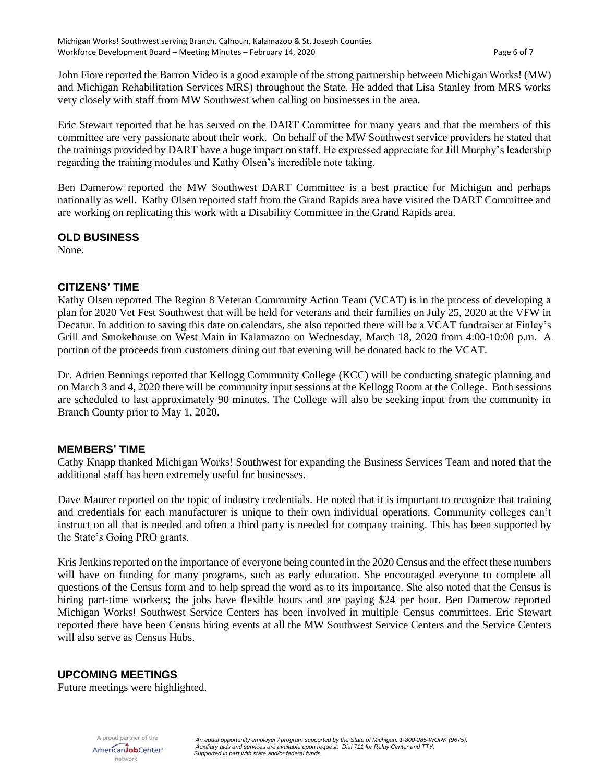John Fiore reported the Barron Video is a good example of the strong partnership between Michigan Works! (MW) and Michigan Rehabilitation Services MRS) throughout the State. He added that Lisa Stanley from MRS works very closely with staff from MW Southwest when calling on businesses in the area.

Eric Stewart reported that he has served on the DART Committee for many years and that the members of this committee are very passionate about their work. On behalf of the MW Southwest service providers he stated that the trainings provided by DART have a huge impact on staff. He expressed appreciate for Jill Murphy's leadership regarding the training modules and Kathy Olsen's incredible note taking.

Ben Damerow reported the MW Southwest DART Committee is a best practice for Michigan and perhaps nationally as well. Kathy Olsen reported staff from the Grand Rapids area have visited the DART Committee and are working on replicating this work with a Disability Committee in the Grand Rapids area.

### **OLD BUSINESS**

None.

## **CITIZENS' TIME**

Kathy Olsen reported The Region 8 Veteran Community Action Team (VCAT) is in the process of developing a plan for 2020 Vet Fest Southwest that will be held for veterans and their families on July 25, 2020 at the VFW in Decatur. In addition to saving this date on calendars, she also reported there will be a VCAT fundraiser at Finley's Grill and Smokehouse on West Main in Kalamazoo on Wednesday, March 18, 2020 from 4:00-10:00 p.m. A portion of the proceeds from customers dining out that evening will be donated back to the VCAT.

Dr. Adrien Bennings reported that Kellogg Community College (KCC) will be conducting strategic planning and on March 3 and 4, 2020 there will be community input sessions at the Kellogg Room at the College. Both sessions are scheduled to last approximately 90 minutes. The College will also be seeking input from the community in Branch County prior to May 1, 2020.

### **MEMBERS' TIME**

Cathy Knapp thanked Michigan Works! Southwest for expanding the Business Services Team and noted that the additional staff has been extremely useful for businesses.

Dave Maurer reported on the topic of industry credentials. He noted that it is important to recognize that training and credentials for each manufacturer is unique to their own individual operations. Community colleges can't instruct on all that is needed and often a third party is needed for company training. This has been supported by the State's Going PRO grants.

Kris Jenkins reported on the importance of everyone being counted in the 2020 Census and the effect these numbers will have on funding for many programs, such as early education. She encouraged everyone to complete all questions of the Census form and to help spread the word as to its importance. She also noted that the Census is hiring part-time workers; the jobs have flexible hours and are paying \$24 per hour. Ben Damerow reported Michigan Works! Southwest Service Centers has been involved in multiple Census committees. Eric Stewart reported there have been Census hiring events at all the MW Southwest Service Centers and the Service Centers will also serve as Census Hubs.

# **UPCOMING MEETINGS**

Future meetings were highlighted.